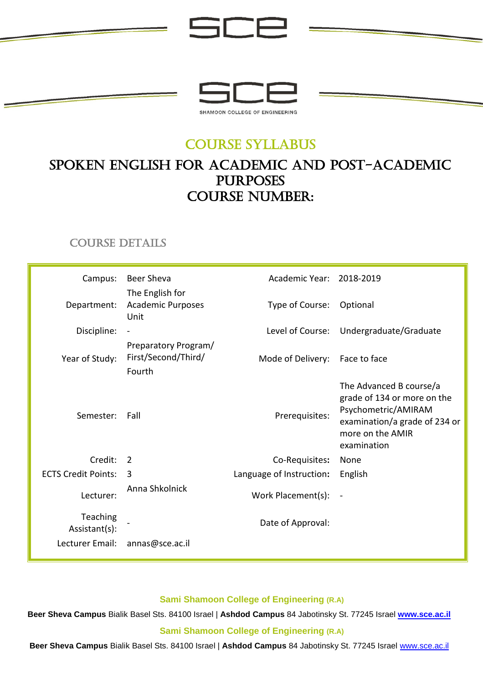

iCF

## COURSE SYLLABUS

# SPOKEN ENGLISH for ACADEMIC AND post-academic purposes Course number:

## COURSE DETAILS

| Campus:                    | <b>Beer Sheva</b>                                     | Academic Year: 2018-2019       |                                                                                                                                                   |
|----------------------------|-------------------------------------------------------|--------------------------------|---------------------------------------------------------------------------------------------------------------------------------------------------|
| Department:                | The English for<br>Academic Purposes<br>Unit          | Type of Course:                | Optional                                                                                                                                          |
| Discipline:                |                                                       |                                | Level of Course: Undergraduate/Graduate                                                                                                           |
| Year of Study:             | Preparatory Program/<br>First/Second/Third/<br>Fourth | Mode of Delivery: Face to face |                                                                                                                                                   |
| Semester:                  | Fall                                                  | Prerequisites:                 | The Advanced B course/a<br>grade of 134 or more on the<br>Psychometric/AMIRAM<br>examination/a grade of 234 or<br>more on the AMIR<br>examination |
| Credit:                    | $\overline{2}$                                        | Co-Requisites:                 | None                                                                                                                                              |
| <b>ECTS Credit Points:</b> | 3                                                     | Language of Instruction:       | English                                                                                                                                           |
| Lecturer:                  | Anna Shkolnick                                        | Work Placement(s):             | $\blacksquare$                                                                                                                                    |
| Teaching<br>Assistant(s):  |                                                       | Date of Approval:              |                                                                                                                                                   |
| Lecturer Email:            | annas@sce.ac.il                                       |                                |                                                                                                                                                   |

#### **Sami Shamoon College of Engineering (R.A)**

**Beer Sheva Campus** Bialik Basel Sts. 84100 Israel | **Ashdod Campus** 84 Jabotinsky St. 77245 Israel **[www.sce.ac.il](http://www.sce.ac.il/)**

**Sami Shamoon College of Engineering (R.A)**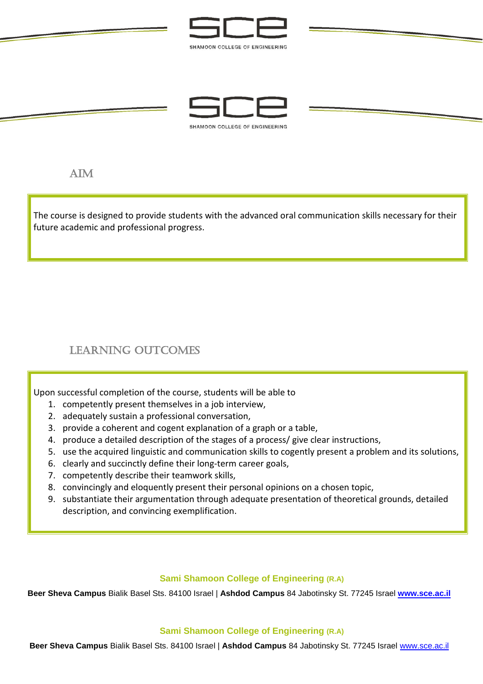



 $AM$ 

j,

The course is designed to provide students with the advanced oral communication skills necessary for their future academic and professional progress.

## LEARNING OUTCOMES

Upon successful completion of the course, students will be able to

- 1. competently present themselves in a job interview,
- 2. adequately sustain a professional conversation,
- 3. provide a coherent and cogent explanation of a graph or a table,
- 4. produce a detailed description of the stages of a process/ give clear instructions,
- 5. use the acquired linguistic and communication skills to cogently present a problem and its solutions,
- 6. clearly and succinctly define their long-term career goals,
- 7. competently describe their teamwork skills,
- 8. convincingly and eloquently present their personal opinions on a chosen topic,
- 9. substantiate their argumentation through adequate presentation of theoretical grounds, detailed description, and convincing exemplification.

#### **Sami Shamoon College of Engineering (R.A)**

**Beer Sheva Campus** Bialik Basel Sts. 84100 Israel | **Ashdod Campus** 84 Jabotinsky St. 77245 Israel **[www.sce.ac.il](http://www.sce.ac.il/)**

#### **Sami Shamoon College of Engineering (R.A)**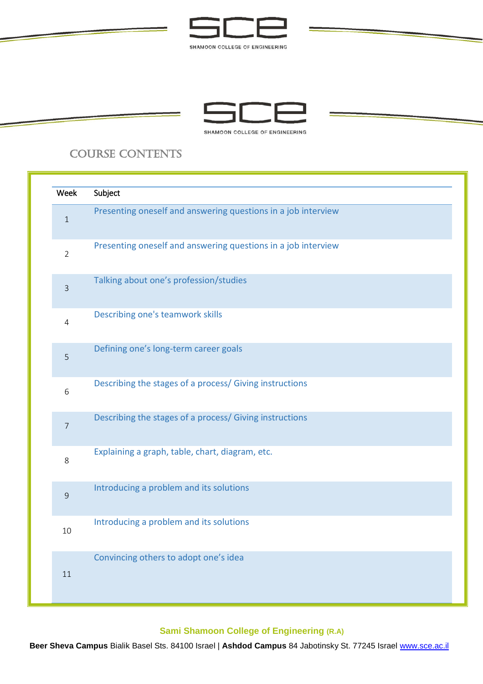



## COURSE CONTENTS

ś

| Week           | Subject                                                       |
|----------------|---------------------------------------------------------------|
| $\mathbf{1}$   | Presenting oneself and answering questions in a job interview |
| $\overline{2}$ | Presenting oneself and answering questions in a job interview |
| $\overline{3}$ | Talking about one's profession/studies                        |
| $\overline{4}$ | Describing one's teamwork skills                              |
| 5              | Defining one's long-term career goals                         |
| 6              | Describing the stages of a process/ Giving instructions       |
| $\overline{7}$ | Describing the stages of a process/ Giving instructions       |
| 8              | Explaining a graph, table, chart, diagram, etc.               |
| $\overline{9}$ | Introducing a problem and its solutions                       |
| 10             | Introducing a problem and its solutions                       |
| 11             | Convincing others to adopt one's idea                         |

### **Sami Shamoon College of Engineering (R.A)**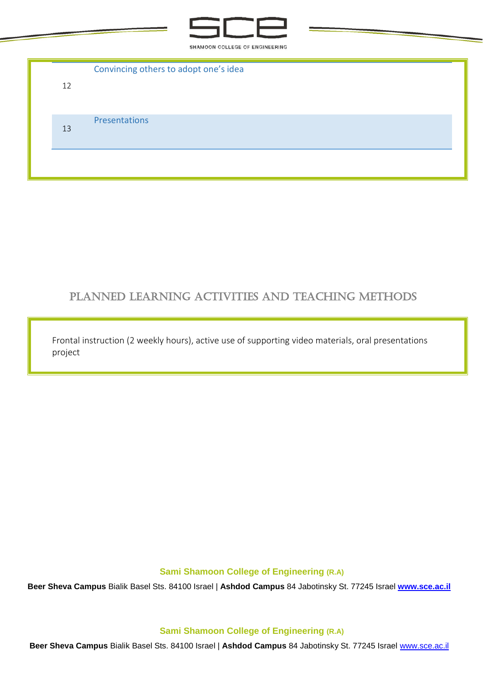

| 12 | Convincing others to adopt one's idea |
|----|---------------------------------------|
|    |                                       |
| 13 | <b>Presentations</b>                  |
|    |                                       |

### Planned learning activities and teaching methods

Frontal instruction (2 weekly hours), active use of supporting video materials, oral presentations project

**Sami Shamoon College of Engineering (R.A)**

**Beer Sheva Campus** Bialik Basel Sts. 84100 Israel | **Ashdod Campus** 84 Jabotinsky St. 77245 Israel **[www.sce.ac.il](http://www.sce.ac.il/)**

**Sami Shamoon College of Engineering (R.A)**